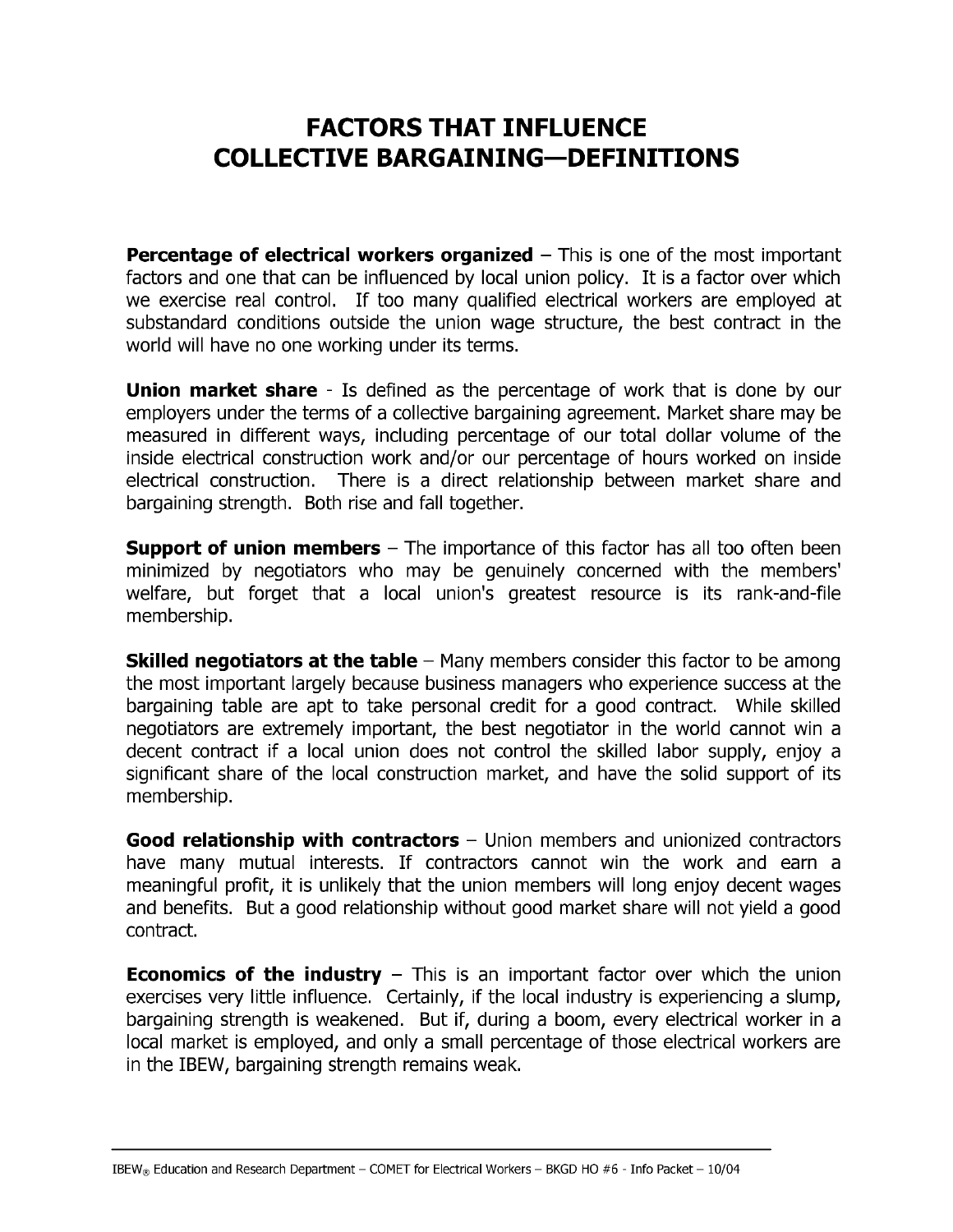## **FACTORS THAT INFLUENCE COLLECTIVE BARGAINING-DEFINITIONS**

**Percentage of electrical workers organized**  $-$  This is one of the most important factors and one that can be influenced by local union policy. It is a factor over which we exercise real control. If too many qualified electrical workers are employed at substandard conditions outside the union wage structure, the best contract in the world will have no one working under its terms.

**Union market share** - Is defined as the percentage of work that is done by our employers under the terms of a collective bargaining agreement. Market share may be measured in different ways, including percentage of our total dollar volume of the inside electrical construction work and/or our percentage of hours worked on inside electrical construction. There is a direct relationship between market share and bargaining strength. Both rise and fall together.

**Support of union members**  $-$  The importance of this factor has all too often been minimized by negotiators who may be genuinely concerned with the members' welfare, but forget that a local union's greatest resource is its rank-and-file membership.

**Skilled negotiators at the table**  $-$  Many members consider this factor to be among the most important largely because business managers who experience success at the bargaining table are apt to take personal credit for a good contract. While skilled negotiators are extremely important, the best negotiator in the world cannot win a decent contract if a local union does not control the skilled labor supply, enjoy a significant share of the local construction market, and have the solid support of its membership.

Good relationship with contractors - Union members and unionized contractors have many mutual interests. If contractors cannot win the work and earn a meaningful profit, it is unlikely that the union members will long enjoy decent wages and benefits. But a good relationship without good market share will not yield a good contract.

**Economics of the industry**  $-$  This is an important factor over which the union exercises very little influence. Certainly, if the local industry is experiencing a slump, bargaining strength is weakened. But if, during a boom, every electrical worker in a local market is employed, and only a small percentage of those electrical workers are in the IBEW, bargaining strength remains weak.